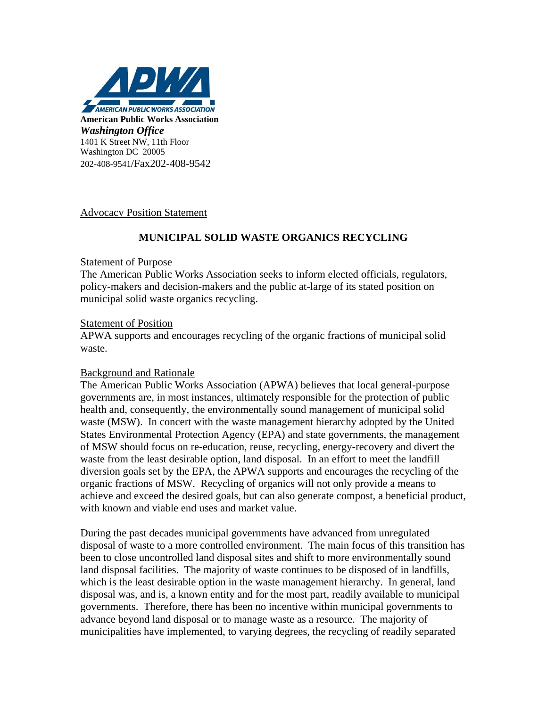

# Advocacy Position Statement

# **MUNICIPAL SOLID WASTE ORGANICS RECYCLING**

### Statement of Purpose

The American Public Works Association seeks to inform elected officials, regulators, policy-makers and decision-makers and the public at-large of its stated position on municipal solid waste organics recycling.

### Statement of Position

APWA supports and encourages recycling of the organic fractions of municipal solid waste.

# Background and Rationale

The American Public Works Association (APWA) believes that local general-purpose governments are, in most instances, ultimately responsible for the protection of public health and, consequently, the environmentally sound management of municipal solid waste (MSW). In concert with the waste management hierarchy adopted by the United States Environmental Protection Agency (EPA) and state governments, the management of MSW should focus on re-education, reuse, recycling, energy-recovery and divert the waste from the least desirable option, land disposal. In an effort to meet the landfill diversion goals set by the EPA, the APWA supports and encourages the recycling of the organic fractions of MSW. Recycling of organics will not only provide a means to achieve and exceed the desired goals, but can also generate compost, a beneficial product, with known and viable end uses and market value.

During the past decades municipal governments have advanced from unregulated disposal of waste to a more controlled environment. The main focus of this transition has been to close uncontrolled land disposal sites and shift to more environmentally sound land disposal facilities. The majority of waste continues to be disposed of in landfills, which is the least desirable option in the waste management hierarchy. In general, land disposal was, and is, a known entity and for the most part, readily available to municipal governments. Therefore, there has been no incentive within municipal governments to advance beyond land disposal or to manage waste as a resource. The majority of municipalities have implemented, to varying degrees, the recycling of readily separated